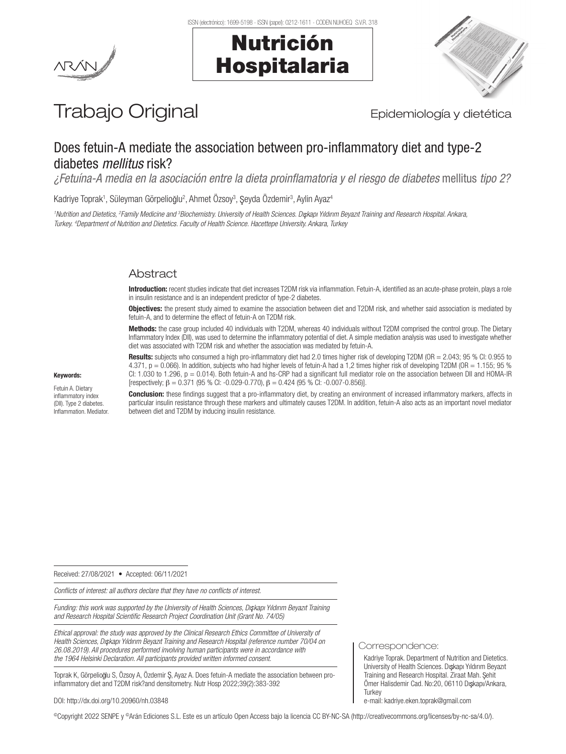



# Trabajo Original **Epidemiología** y dietética

# Does fetuin-A mediate the association between pro-inflammatory diet and type-2 diabetes *mellitus* risk?

*¿Fetuína-A media en la asociación entre la dieta proinflamatoria y el riesgo de diabetes* mellitus *tipo 2?*

Kadriye Toprak<sup>ı</sup>, Süleyman Görpelioğlu<sup>2</sup>, Ahmet Özsoy<sup>3</sup>, Şeyda Özdemir<sup>3</sup>, Aylin Ayaz<sup>4</sup>

*1 Nutrition and Dietetics, 2 Family Medicine and 3 Biochemistry. University of Health Sciences. Dı kapı Yıldırım Beyazıt Training and Research Hospital. Ankara, Turkey. 4 Department of Nutrition and Dietetics. Faculty of Health Science. Hacettepe University. Ankara, Turkey*

# Abstract

Introduction: recent studies indicate that diet increases T2DM risk via inflammation. Fetuin-A, identified as an acute-phase protein, plays a role in insulin resistance and is an independent predictor of type-2 diabetes.

Objectives: the present study aimed to examine the association between diet and T2DM risk, and whether said association is mediated by fetuin-A, and to determine the effect of fetuin-A on T2DM risk.

Methods: the case group included 40 individuals with T2DM, whereas 40 individuals without T2DM comprised the control group. The Dietary Inflammatory Index (DII), was used to determine the inflammatory potential of diet. A simple mediation analysis was used to investigate whether diet was associated with T2DM risk and whether the association was mediated by fetuin-A.

Results: subjects who consumed a high pro-inflammatory diet had 2.0 times higher risk of developing T2DM (OR = 2.043; 95 % CI: 0.955 to 4.371, p = 0.066). In addition, subjects who had higher levels of fetuin-A had a 1,2 times higher risk of developing T2DM (OR = 1.155; 95 % CI: 1.030 to 1.296, p = 0.014). Both fetuin-A and hs-CRP had a significant full mediator role on the association between DII and HOMA-IR [respectively; β = 0.371 (95 % CI: -0.029-0.770), β = 0.424 (95 % CI: -0.007-0.856)].

Keywords:

Fetuin A. Dietary inflammatory index (DII). Type 2 diabetes. Inflammation. Mediator.

**Conclusion:** these findings suggest that a pro-inflammatory diet, by creating an environment of increased inflammatory markers, affects in particular insulin resistance through these markers and ultimately causes T2DM. In addition, fetuin-A also acts as an important novel mediator between diet and T2DM by inducing insulin resistance.

Received: 27/08/2021 • Accepted: 06/11/2021

*Conflicts of interest: all authors declare that they have no conflicts of interest.*

*Funding: this work was supported by the University of Health Sciences, Dı kapı Yıldırım Beyazıt Training and Research Hospital Scientific Research Project Coordination Unit (Grant No. 74/05)*

*Ethical approval: the study was approved by the Clinical Research Ethics Committee of University of Health Sciences, Dı kapı Yıldırım Beyazıt Training and Research Hospital (reference number 70/04 on 26.08.2019). All procedures performed involving human participants were in accordance with the 1964 Helsinki Declaration. All participants provided written informed consent.*

Toprak K, Görpelioğlu S, Özsoy A, Özdemir Ş, Ayaz A. Does fetuin-A mediate the association between proinflammatory diet and T2DM risk?and densitometry. Nutr Hosp 2022;39(2):383-392

DOI: http://dx.doi.org/10.20960/nh.03848

©Copyright 2022 SENPE y ©Arán Ediciones S.L. Este es un artículo Open Access bajo la licencia CC BY-NC-SA (http://creativecommons.org/licenses/by-nc-sa/4.0/).

Correspondence:

Kadriye Toprak. Department of Nutrition and Dietetics. University of Health Sciences. Dışkapı Yıldırım Beyazıt Training and Research Hospital. Ziraat Mah. Sehit Ömer Halisdemir Cad. No:20, 06110 Dışkapı/Ankara, **Turkey** e-mail: kadriye.eken.toprak@gmail.com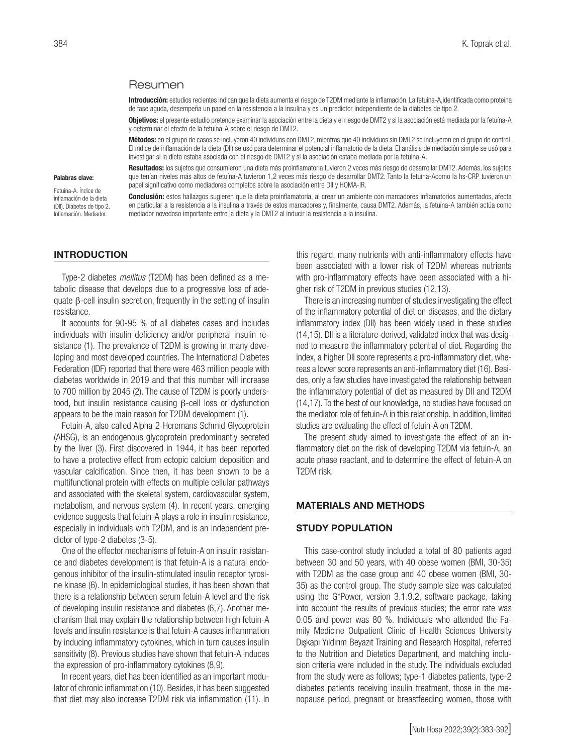#### Resumen

Introducción: estudios recientes indican que la dieta aumenta el riesgo de T2DM mediante la inflamación. La fetuína-A,identificada como proteína de fase aguda, desempeña un papel en la resistencia a la insulina y es un predictor independiente de la diabetes de tipo 2.

Objetivos: el presente estudio pretende examinar la asociación entre la dieta y el riesgo de DMT2 y si la asociación está mediada por la fetuína-A y determinar el efecto de la fetuína-A sobre el riesgo de DMT2.

Métodos: en el grupo de casos se incluyeron 40 individuos con DMT2, mientras que 40 individuos sin DMT2 se incluyeron en el grupo de control. El índice de inflamación de la dieta (DII) se usó para determinar el potencial inflamatorio de la dieta. El análisis de mediación simple se usó para investigar si la dieta estaba asociada con el riesgo de DMT2 y si la asociación estaba mediada por la fetuína-A.

Resultados: los sujetos que consumieron una dieta más proinflamatoria tuvieron 2 veces más riesgo de desarrollar DMT2. Además, los sujetos que tenían niveles más altos de fetuína-A tuvieron 1,2 veces más riesgo de desarrollar DMT2. Tanto la fetuína-Acomo la hs-CRP tuvieron un papel significativo como mediadores completos sobre la asociación entre DII y HOMA-IR.

Conclusión: estos hallazgos sugieren que la dieta proinflamatoria, al crear un ambiente con marcadores inflamatorios aumentados, afecta en particular a la resistencia a la insulina a través de estos marcadores y, finalmente, causa DMT2. Además, la fetuína-A también actúa como mediador novedoso importante entre la dieta y la DMT2 al inducir la resistencia a la insulina.

#### INTRODUCTION

Palabras clave: Fetuína-A. Índice de inflamación de la dieta (DII). Diabetes de tipo 2. Inflamación. Mediador.

Type-2 diabetes *mellitus* (T2DM) has been defined as a metabolic disease that develops due to a progressive loss of adequate β-cell insulin secretion, frequently in the setting of insulin resistance.

It accounts for 90-95 % of all diabetes cases and includes individuals with insulin deficiency and/or peripheral insulin resistance (1). The prevalence of T2DM is growing in many developing and most developed countries. The International Diabetes Federation (IDF) reported that there were 463 million people with diabetes worldwide in 2019 and that this number will increase to 700 million by 2045 (2). The cause of T2DM is poorly understood, but insulin resistance causing β-cell loss or dysfunction appears to be the main reason for T2DM development (1).

Fetuin-A, also called Alpha 2-Heremans Schmid Glycoprotein (AHSG), is an endogenous glycoprotein predominantly secreted by the liver (3). First discovered in 1944, it has been reported to have a protective effect from ectopic calcium deposition and vascular calcification. Since then, it has been shown to be a multifunctional protein with effects on multiple cellular pathways and associated with the skeletal system, cardiovascular system, metabolism, and nervous system (4). In recent years, emerging evidence suggests that fetuin-A plays a role in insulin resistance, especially in individuals with T2DM, and is an independent predictor of type-2 diabetes (3-5).

One of the effector mechanisms of fetuin-A on insulin resistance and diabetes development is that fetuin-A is a natural endogenous inhibitor of the insulin-stimulated insulin receptor tyrosine kinase (6). In epidemiological studies, it has been shown that there is a relationship between serum fetuin-A level and the risk of developing insulin resistance and diabetes (6,7). Another mechanism that may explain the relationship between high fetuin-A levels and insulin resistance is that fetuin-A causes inflammation by inducing inflammatory cytokines, which in turn causes insulin sensitivity (8). Previous studies have shown that fetuin-A induces the expression of pro-inflammatory cytokines (8,9).

In recent years, diet has been identified as an important modulator of chronic inflammation (10). Besides, it has been suggested that diet may also increase T2DM risk via inflammation (11). In this regard, many nutrients with anti-inflammatory effects have been associated with a lower risk of T2DM whereas nutrients with pro-inflammatory effects have been associated with a higher risk of T2DM in previous studies (12,13).

There is an increasing number of studies investigating the effect of the inflammatory potential of diet on diseases, and the dietary inflammatory index (DII) has been widely used in these studies (14,15). DII is a literature-derived, validated index that was designed to measure the inflammatory potential of diet. Regarding the index, a higher DII score represents a pro-inflammatory diet, whereas a lower score represents an anti-inflammatory diet (16). Besides, only a few studies have investigated the relationship between the inflammatory potential of diet as measured by DII and T2DM (14,17). To the best of our knowledge, no studies have focused on the mediator role of fetuin-A in this relationship. In addition, limited studies are evaluating the effect of fetuin-A on T2DM.

The present study aimed to investigate the effect of an inflammatory diet on the risk of developing T2DM via fetuin-A, an acute phase reactant, and to determine the effect of fetuin-A on T2DM risk.

#### MATERIALS AND METHODS

#### STUDY POPULATION

This case-control study included a total of 80 patients aged between 30 and 50 years, with 40 obese women (BMI, 30-35) with T2DM as the case group and 40 obese women (BMI, 30- 35) as the control group. The study sample size was calculated using the G\*Power, version 3.1.9.2, software package, taking into account the results of previous studies; the error rate was 0.05 and power was 80 %. Individuals who attended the Family Medicine Outpatient Clinic of Health Sciences University Dışkapı Yıldırım Beyazıt Training and Research Hospital, referred to the Nutrition and Dietetics Department, and matching inclusion criteria were included in the study. The individuals excluded from the study were as follows; type-1 diabetes patients, type-2 diabetes patients receiving insulin treatment, those in the menopause period, pregnant or breastfeeding women, those with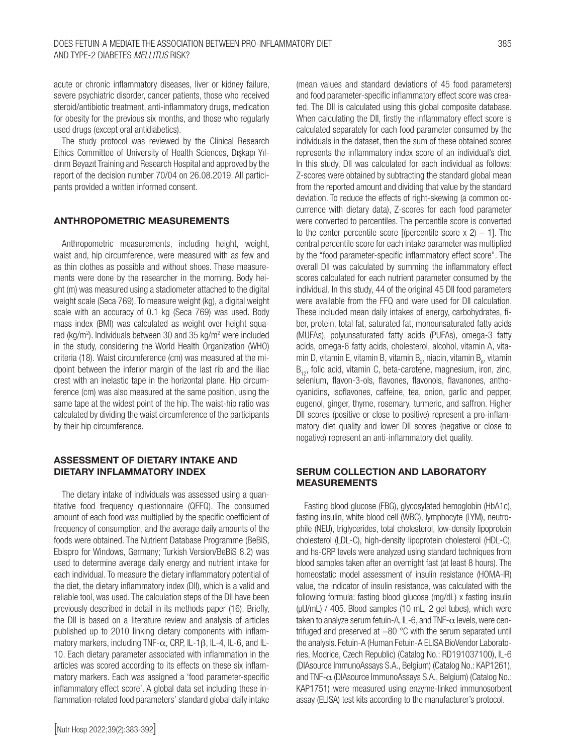acute or chronic inflammatory diseases, liver or kidney failure, severe psychiatric disorder, cancer patients, those who received steroid/antibiotic treatment, anti-inflammatory drugs, medication for obesity for the previous six months, and those who regularly used drugs (except oral antidiabetics).

The study protocol was reviewed by the Clinical Research Ethics Committee of University of Health Sciences, Dışkapı Yıldırım Beyazıt Training and Research Hospital and approved by the report of the decision number 70/04 on 26.08.2019. All participants provided a written informed consent.

#### ANTHROPOMETRIC MEASUREMENTS

Anthropometric measurements, including height, weight, waist and, hip circumference, were measured with as few and as thin clothes as possible and without shoes. These measurements were done by the researcher in the morning. Body height (m) was measured using a stadiometer attached to the digital weight scale (Seca 769). To measure weight (kg), a digital weight scale with an accuracy of 0.1 kg (Seca 769) was used. Body mass index (BMI) was calculated as weight over height squared (kg/m<sup>2</sup>). Individuals between 30 and 35 kg/m<sup>2</sup> were included in the study, considering the World Health Organization (WHO) criteria (18). Waist circumference (cm) was measured at the midpoint between the inferior margin of the last rib and the iliac crest with an inelastic tape in the horizontal plane. Hip circumference (cm) was also measured at the same position, using the same tape at the widest point of the hip. The waist-hip ratio was calculated by dividing the waist circumference of the participants by their hip circumference.

# ASSESSMENT OF DIETARY INTAKE AND DIETARY INFLAMMATORY INDEX

The dietary intake of individuals was assessed using a quantitative food frequency questionnaire (QFFQ). The consumed amount of each food was multiplied by the specific coefficient of frequency of consumption, and the average daily amounts of the foods were obtained. The Nutrient Database Programme (BeBiS, Ebispro for Windows, Germany; Turkish Version/BeBiS 8.2) was used to determine average daily energy and nutrient intake for each individual. To measure the dietary inflammatory potential of the diet, the dietary inflammatory index (DII), which is a valid and reliable tool, was used. The calculation steps of the DII have been previously described in detail in its methods paper (16). Briefly, the DII is based on a literature review and analysis of articles published up to 2010 linking dietary components with inflammatory markers, including TNF- $\alpha$ , CRP, IL-1 $\beta$ , IL-4, IL-6, and IL-10. Each dietary parameter associated with inflammation in the articles was scored according to its effects on these six inflammatory markers. Each was assigned a 'food parameter-specific inflammatory effect score'. A global data set including these inflammation-related food parameters' standard global daily intake (mean values and standard deviations of 45 food parameters) and food parameter-specific inflammatory effect score was created. The DII is calculated using this global composite database. When calculating the DII, firstly the inflammatory effect score is calculated separately for each food parameter consumed by the individuals in the dataset, then the sum of these obtained scores represents the inflammatory index score of an individual's diet. In this study, DII was calculated for each individual as follows: Z-scores were obtained by subtracting the standard global mean from the reported amount and dividing that value by the standard deviation. To reduce the effects of right-skewing (a common occurrence with dietary data), Z-scores for each food parameter were converted to percentiles. The percentile score is converted to the center percentile score [(percentile score  $x$  2) – 1]. The central percentile score for each intake parameter was multiplied by the "food parameter-specific inflammatory effect score". The overall DII was calculated by summing the inflammatory effect scores calculated for each nutrient parameter consumed by the individual. In this study, 44 of the original 45 DII food parameters were available from the FFQ and were used for DII calculation. These included mean daily intakes of energy, carbohydrates, fiber, protein, total fat, saturated fat, monounsaturated fatty acids (MUFAs), polyunsaturated fatty acids (PUFAs), omega-3 fatty acids, omega-6 fatty acids, cholesterol, alcohol, vitamin A, vitamin D, vitamin E, vitamin B<sub>1</sub> vitamin B<sub>2</sub>, niacin, vitamin B<sub>6</sub>, vitamin  $B_{12}$ , folic acid, vitamin C, beta-carotene, magnesium, iron, zinc, selenium, flavon-3-ols, flavones, flavonols, flavanones, anthocyanidins, isoflavones, caffeine, tea, onion, garlic and pepper, eugenol, ginger, thyme, rosemary, turmeric, and saffron. Higher DII scores (positive or close to positive) represent a pro-inflammatory diet quality and lower DII scores (negative or close to negative) represent an anti-inflammatory diet quality.

#### SERUM COLLECTION AND LABORATORY MEASUREMENTS

Fasting blood glucose (FBG), glycosylated hemoglobin (HbA1c), fasting insulin, white blood cell (WBC), lymphocyte (LYM), neutrophile (NEU), triglycerides, total cholesterol, low-density lipoprotein cholesterol (LDL-C), high-density lipoprotein cholesterol (HDL-C), and hs-CRP levels were analyzed using standard techniques from blood samples taken after an overnight fast (at least 8 hours). The homeostatic model assessment of insulin resistance (HOMA-IR) value, the indicator of insulin resistance, was calculated with the following formula: fasting blood glucose (mg/dL) x fasting insulin (µU/mL) / 405. Blood samples (10 mL, 2 gel tubes), which were taken to analyze serum fetuin-A, IL-6, and TNF- $\alpha$  levels, were centrifuged and preserved at −80 °C with the serum separated until the analysis. Fetuin-A (Human Fetuin-A ELISA BioVendor Laboratories, Modrice, Czech Republic) (Catalog No.: RD191037100), IL-6 (DIAsource ImmunoAssays S.A., Belgium) (Catalog No.: KAP1261), and TNF-α (DIAsource ImmunoAssays S.A., Belgium) (Catalog No.: KAP1751) were measured using enzyme-linked immunosorbent assay (ELISA) test kits according to the manufacturer's protocol.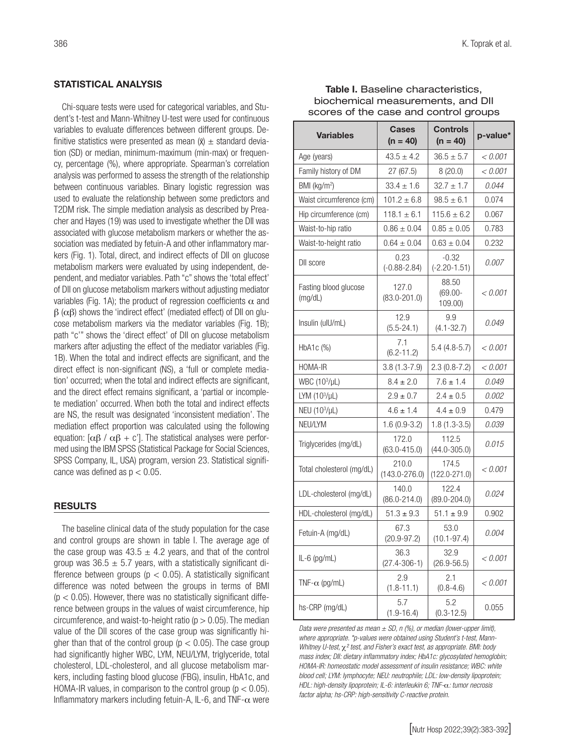# STATISTICAL ANALYSIS

Chi-square tests were used for categorical variables, and Student's t-test and Mann-Whitney U-test were used for continuous variables to evaluate differences between different groups. Definitive statistics were presented as mean  $(x)$   $\pm$  standard deviation (SD) or median, minimum-maximum (min-max) or frequency, percentage (%), where appropriate. Spearman's correlation analysis was performed to assess the strength of the relationship between continuous variables. Binary logistic regression was used to evaluate the relationship between some predictors and T2DM risk. The simple mediation analysis as described by Preacher and Hayes (19) was used to investigate whether the DII was associated with glucose metabolism markers or whether the association was mediated by fetuin-A and other inflammatory markers (Fig. 1). Total, direct, and indirect effects of DII on glucose metabolism markers were evaluated by using independent, dependent, and mediator variables. Path "c" shows the 'total effect' of DII on glucose metabolism markers without adjusting mediator variables (Fig. 1A); the product of regression coefficients  $\alpha$  and  $β$  ( $αβ$ ) shows the 'indirect effect' (mediated effect) of DII on qlucose metabolism markers via the mediator variables (Fig. 1B); path "c'" shows the 'direct effect' of DII on glucose metabolism markers after adjusting the effect of the mediator variables (Fig. 1B). When the total and indirect effects are significant, and the direct effect is non-significant (NS), a 'full or complete mediation' occurred; when the total and indirect effects are significant, and the direct effect remains significant, a 'partial or incomplete mediation' occurred. When both the total and indirect effects are NS, the result was designated 'inconsistent mediation'. The mediation effect proportion was calculated using the following equation: [ $\alpha\beta$  /  $\alpha\beta$  + c']. The statistical analyses were performed using the IBM SPSS (Statistical Package for Social Sciences, SPSS Company, IL, USA) program, version 23. Statistical significance was defined as  $p < 0.05$ .

# RESULTS

The baseline clinical data of the study population for the case and control groups are shown in table I. The average age of the case group was  $43.5 \pm 4.2$  years, and that of the control group was  $36.5 \pm 5.7$  years, with a statistically significant difference between groups ( $p < 0.05$ ). A statistically significant difference was noted between the groups in terms of BMI  $(p < 0.05)$ . However, there was no statistically significant difference between groups in the values of waist circumference, hip circumference, and waist-to-height ratio ( $p > 0.05$ ). The median value of the DII scores of the case group was significantly higher than that of the control group ( $p < 0.05$ ). The case group had significantly higher WBC, LYM, NEU/LYM, triglyceride, total cholesterol, LDL-cholesterol, and all glucose metabolism markers, including fasting blood glucose (FBG), insulin, HbA1c, and HOMA-IR values, in comparison to the control group ( $p < 0.05$ ). Inflammatory markers including fetuin-A, IL-6, and TNF- $\alpha$  were

| Table I. Baseline characteristics,    |
|---------------------------------------|
| biochemical measurements, and DII     |
| scores of the case and control groups |

| <b>Variables</b>                 | <b>Cases</b><br>$(n = 40)$ | <b>Controls</b><br>$(n = 40)$  | p-value*     |  |
|----------------------------------|----------------------------|--------------------------------|--------------|--|
| Age (years)                      | $43.5 \pm 4.2$             | $36.5 \pm 5.7$                 | < 0.001      |  |
| Family history of DM             | 27(67.5)                   | 8(20.0)                        | < 0.001      |  |
| BMI (kg/m <sup>2</sup> )         | $33.4 \pm 1.6$             | $32.7 \pm 1.7$                 | 0.044        |  |
| Waist circumference (cm)         | $101.2 \pm 6.8$            | $98.5 \pm 6.1$                 | 0.074        |  |
| Hip circumference (cm)           | $118.1 \pm 6.1$            | $115.6 \pm 6.2$                | 0.067        |  |
| Waist-to-hip ratio               | $0.86 \pm 0.04$            | $0.85 \pm 0.05$                | 0.783        |  |
| Waist-to-height ratio            | $0.64 \pm 0.04$            | $0.63 \pm 0.04$                | 0.232        |  |
| DII score                        | 0.23<br>$(-0.88 - 2.84)$   | $-0.32$<br>$(-2.20 - 1.51)$    | <i>0.007</i> |  |
| Fasting blood glucose<br>(mg/dL) | 127.0<br>$(83.0 - 201.0)$  | 88.50<br>$(69.00 -$<br>109.00) | < 0.001      |  |
| Insulin (ulU/mL)                 | 12.9<br>$(5.5 - 24.1)$     | 9.9<br>$(4.1 - 32.7)$          | 0.049        |  |
| $HbA1c$ $%$                      | 7.1<br>$(6.2 - 11.2)$      | $5.4(4.8-5.7)$                 | < 0.001      |  |
| <b>HOMA-IR</b>                   | $3.8(1.3 - 7.9)$           | $2.3(0.8-7.2)$                 | < 0.001      |  |
| WBC (10 <sup>3</sup> /µL)        | $8.4 \pm 2.0$              | $7.6 \pm 1.4$                  | 0.049        |  |
| LYM $(10^3/\mu L)$               | $2.9 \pm 0.7$              | $2.4 \pm 0.5$                  | 0.002        |  |
| NEU (10 <sup>3</sup> /µL)        | $4.6 \pm 1.4$              | $4.4 \pm 0.9$                  | 0.479        |  |
| NEU/LYM                          | $1.6(0.9-3.2)$             | $1.8(1.3-3.5)$                 | 0.039        |  |
| Triglycerides (mg/dL)            | 172.0<br>$(63.0 - 415.0)$  | 112.5<br>$(44.0 - 305.0)$      | 0.015        |  |
| Total cholesterol (mg/dL)        | 210.0<br>$(143.0 - 276.0)$ | 174.5<br>$(122.0 - 271.0)$     | < 0.001      |  |
| LDL-cholesterol (mg/dL)          | 140.0<br>$(86.0 - 214.0)$  | 122.4<br>$(89.0 - 204.0)$      | 0.024        |  |
| HDL-cholesterol (mg/dL)          | $51.3 \pm 9.3$             | $51.1 \pm 9.9$                 | 0.902        |  |
| Fetuin-A (mg/dL)                 | 67.3<br>$(20.9 - 97.2)$    | 53.0<br>$(10.1 - 97.4)$        | 0.004        |  |
| $IL-6$ (pg/mL)                   | 36.3<br>$(27.4 - 306 - 1)$ | 32.9<br>$(26.9 - 56.5)$        | < 0.001      |  |
| TNF- $\alpha$ (pg/mL)            | 2.9<br>$(1.8 - 11.1)$      | 2.1<br>$(0.8 - 4.6)$           | < 0.001      |  |
| hs-CRP (mg/dL)                   | 5.7<br>$(1.9 - 16.4)$      | 5.2<br>$(0.3 - 12.5)$          | 0.055        |  |

*Data were presented as mean ± SD, n (%), or median (lower-upper limit), where appropriate. \*p-values were obtained using Student's t-test, Mann-Whitney U-test,* χ*² test, and Fisher's exact test, as appropriate. BMI: body mass index; DII: dietary inflammatory index; HbA1c: glycosylated hemoglobin; HOMA-IR: homeostatic model assessment of insulin resistance; WBC: white blood cell; LYM: lymphocyte; NEU: neutrophile; LDL: low-density lipoprotein; HDL: high-density lipoprotein; IL-6: interleukin 6; TNF-*α*: tumor necrosis factor alpha; hs-CRP: high-sensitivity C-reactive protein.*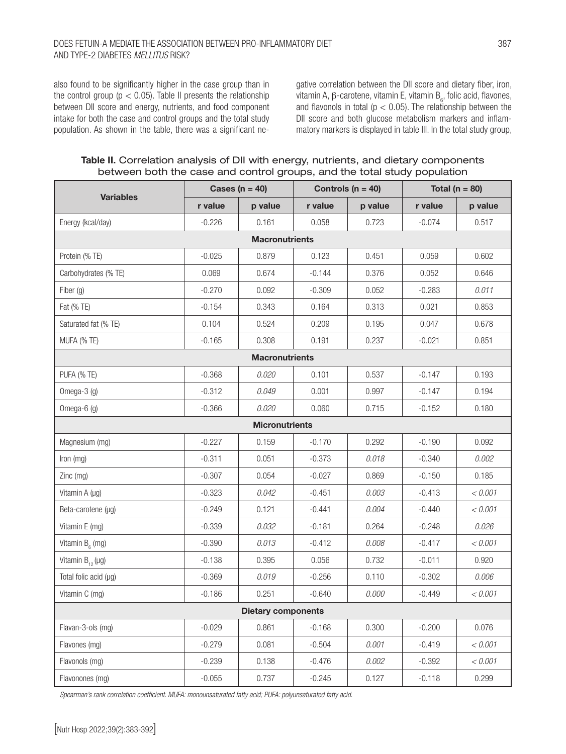# Does fetuin-A mediate the association between pro-inflammatory diet AND TYPE-2 DIABETES *MELLITUS* RISK?

also found to be significantly higher in the case group than in the control group ( $p < 0.05$ ). Table II presents the relationship between DII score and energy, nutrients, and food component intake for both the case and control groups and the total study population. As shown in the table, there was a significant ne-

gative correlation between the DII score and dietary fiber, iron, vitamin A, β-carotene, vitamin E, vitamin B<sub>6</sub>, folic acid, flavones, and flavonols in total ( $p < 0.05$ ). The relationship between the DII score and both glucose metabolism markers and inflammatory markers is displayed in table III. In the total study group,

Table II. Correlation analysis of DII with energy, nutrients, and dietary components between both the case and control groups, and the total study population

|                             |          | Cases ( $n = 40$ )    | Controls ( $n = 40$ ) |         | Total ( $n = 80$ ) |         |  |  |
|-----------------------------|----------|-----------------------|-----------------------|---------|--------------------|---------|--|--|
| <b>Variables</b>            | r value  | p value               | r value               | p value | r value            | p value |  |  |
| Energy (kcal/day)           | $-0.226$ | 0.161                 | 0.058                 | 0.723   | $-0.074$           | 0.517   |  |  |
| <b>Macronutrients</b>       |          |                       |                       |         |                    |         |  |  |
| Protein (% TE)              | $-0.025$ | 0.879                 | 0.123                 | 0.451   | 0.059              | 0.602   |  |  |
| Carbohydrates (% TE)        | 0.069    | 0.674                 | $-0.144$              | 0.376   | 0.052              | 0.646   |  |  |
| Fiber (g)                   | $-0.270$ | 0.092                 | $-0.309$              | 0.052   | $-0.283$           | 0.011   |  |  |
| Fat (% TE)                  | $-0.154$ | 0.343                 | 0.164                 | 0.313   | 0.021              | 0.853   |  |  |
| Saturated fat (% TE)        | 0.104    | 0.524                 | 0.209                 | 0.195   | 0.047              | 0.678   |  |  |
| MUFA (% TE)                 | $-0.165$ | 0.308                 | 0.191                 | 0.237   | $-0.021$           | 0.851   |  |  |
|                             |          | <b>Macronutrients</b> |                       |         |                    |         |  |  |
| PUFA (% TE)                 | $-0.368$ | 0.020                 | 0.101                 | 0.537   | $-0.147$           | 0.193   |  |  |
| Omega-3 $(g)$               | $-0.312$ | 0.049                 | 0.001                 | 0.997   | $-0.147$           | 0.194   |  |  |
| Omega-6 (g)                 | $-0.366$ | 0.020                 | 0.060                 | 0.715   | $-0.152$           | 0.180   |  |  |
|                             |          | <b>Micronutrients</b> |                       |         |                    |         |  |  |
| Magnesium (mg)              | $-0.227$ | 0.159                 | $-0.170$              | 0.292   | $-0.190$           | 0.092   |  |  |
| Iron (mg)                   | $-0.311$ | 0.051                 | $-0.373$              | 0.018   | $-0.340$           | 0.002   |  |  |
| Zinc (mg)                   | $-0.307$ | 0.054                 | $-0.027$              | 0.869   | $-0.150$           | 0.185   |  |  |
| Vitamin A (µg)              | $-0.323$ | 0.042                 | $-0.451$              | 0.003   | $-0.413$           | < 0.001 |  |  |
| Beta-carotene (µg)          | $-0.249$ | 0.121                 | $-0.441$              | 0.004   | $-0.440$           | < 0.001 |  |  |
| Vitamin E (mg)              | $-0.339$ | 0.032                 | $-0.181$              | 0.264   | $-0.248$           | 0.026   |  |  |
| Vitamin $B_{\epsilon}$ (mg) | $-0.390$ | 0.013                 | $-0.412$              | 0.008   | $-0.417$           | < 0.001 |  |  |
| Vitamin $B_{12}(\mu g)$     | $-0.138$ | 0.395                 | 0.056                 | 0.732   | $-0.011$           | 0.920   |  |  |
| Total folic acid (µg)       | $-0.369$ | 0.019                 | $-0.256$              | 0.110   | $-0.302$           | 0.006   |  |  |
| Vitamin C (mg)              | $-0.186$ | 0.251                 | $-0.640$              | 0.000   | $-0.449$           | < 0.001 |  |  |
| <b>Dietary components</b>   |          |                       |                       |         |                    |         |  |  |
| Flavan-3-ols (mg)           | $-0.029$ | 0.861                 | $-0.168$              | 0.300   | $-0.200$           | 0.076   |  |  |
| Flavones (mg)               | $-0.279$ | 0.081                 | $-0.504$              | 0.001   | $-0.419$           | < 0.001 |  |  |
| Flavonols (mg)              | $-0.239$ | 0.138                 | $-0.476$              | 0.002   | $-0.392$           | < 0.001 |  |  |
| Flavonones (mg)             | $-0.055$ | 0.737                 | $-0.245$              | 0.127   | $-0.118$           | 0.299   |  |  |

*Spearman's rank correlation coefficient. MUFA: monounsaturated fatty acid; PUFA: polyunsaturated fatty acid.*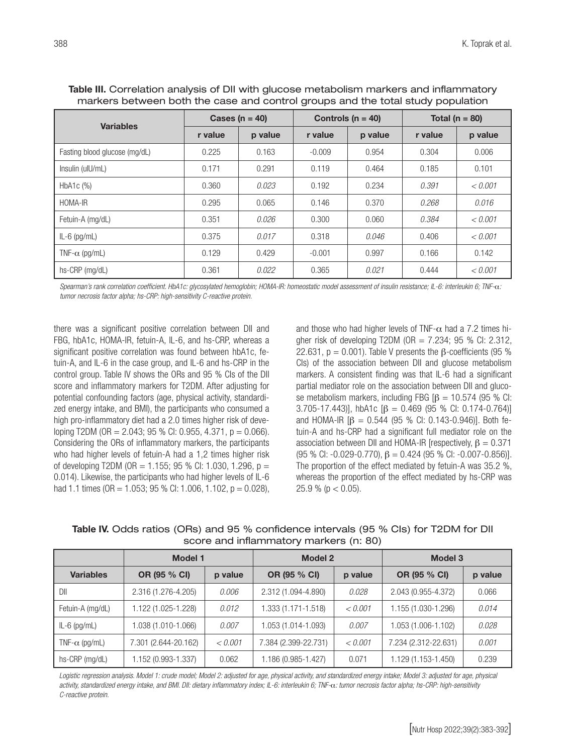| <b>Variables</b>              |         | Cases ( $n = 40$ ) |          | Controls ( $n = 40$ ) | Total ( $n = 80$ ) |         |
|-------------------------------|---------|--------------------|----------|-----------------------|--------------------|---------|
|                               | r value | p value            | r value  | p value               | r value            | p value |
| Fasting blood glucose (mg/dL) | 0.225   | 0.163              | $-0.009$ | 0.954                 | 0.304              | 0.006   |
| Insulin (ulU/mL)              | 0.171   | 0.291              | 0.119    | 0.464                 | 0.185              | 0.101   |
| HbA <sub>1</sub> c $(\%)$     | 0.360   | 0.023              | 0.192    | 0.234                 | 0.391              | < 0.001 |
| HOMA-IR                       | 0.295   | 0.065              | 0.146    | 0.370                 | 0.268              | 0.016   |
| Fetuin-A (mg/dL)              | 0.351   | 0.026              | 0.300    | 0.060                 | 0.384              | < 0.001 |
| $IL-6$ (pg/mL)                | 0.375   | 0.017              | 0.318    | 0.046                 | 0.406              | < 0.001 |
| TNF- $\alpha$ (pg/mL)         | 0.129   | 0.429              | $-0.001$ | 0.997                 | 0.166              | 0.142   |
| hs-CRP (mg/dL)                | 0.361   | 0.022              | 0.365    | 0.021                 | 0.444              | < 0.001 |

Table III. Correlation analysis of DII with glucose metabolism markers and inflammatory markers between both the case and control groups and the total study population

*Spearman's rank correlation coefficient. HbA1c: glycosylated hemoglobin; HOMA-IR: homeostatic model assessment of insulin resistance; IL-6: interleukin 6; TNF-*α*: tumor necrosis factor alpha; hs-CRP: high-sensitivity C-reactive protein.*

there was a significant positive correlation between DII and FBG, hbA1c, HOMA-IR, fetuin-A, IL-6, and hs-CRP, whereas a significant positive correlation was found between hbA1c, fetuin-A, and IL-6 in the case group, and IL-6 and hs-CRP in the control group. Table IV shows the ORs and 95 % CIs of the DII score and inflammatory markers for T2DM. After adjusting for potential confounding factors (age, physical activity, standardized energy intake, and BMI), the participants who consumed a high pro-inflammatory diet had a 2.0 times higher risk of developing T2DM (OR = 2.043; 95 % CI: 0.955, 4.371, p = 0.066). Considering the ORs of inflammatory markers, the participants who had higher levels of fetuin-A had a 1,2 times higher risk of developing T2DM (OR = 1.155; 95 % CI: 1.030, 1.296, p = 0.014). Likewise, the participants who had higher levels of IL-6 had 1.1 times (OR = 1.053; 95 % Cl: 1.006, 1.102,  $p = 0.028$ ), and those who had higher levels of TNF- $\alpha$  had a 7.2 times higher risk of developing T2DM (OR =  $7.234$ ; 95 % Cl: 2.312, 22.631,  $p = 0.001$ ). Table V presents the  $\beta$ -coefficients (95 %) CIs) of the association between DII and glucose metabolism markers. A consistent finding was that IL-6 had a significant partial mediator role on the association between DII and glucose metabolism markers, including FBG  $\beta$  = 10.574 (95 % CI: 3.705-17.443)], hbA1c  $\beta$  = 0.469 (95 % CI: 0.174-0.764)] and HOMA-IR [β = 0.544 (95 % CI: 0.143-0.946)]. Both fetuin-A and hs-CRP had a significant full mediator role on the association between DII and HOMA-IR [respectively,  $β = 0.371$ (95 % CI: -0.029-0.770),  $\beta$  = 0.424 (95 % CI: -0.007-0.856)]. The proportion of the effect mediated by fetuin-A was 35.2 %, whereas the proportion of the effect mediated by hs-CRP was  $25.9 \% (p < 0.05)$ .

Table IV. Odds ratios (ORs) and 95 % confidence intervals (95 % CIs) for T2DM for DII score and inflammatory markers (n: 80)

|                       | Model 1              |         | <b>Model 2</b>       |         | <b>Model 3</b>       |         |
|-----------------------|----------------------|---------|----------------------|---------|----------------------|---------|
| <b>Variables</b>      | OR (95 % CI)         | p value | OR (95 % CI)         | p value | OR (95 % CI)         | p value |
| DII                   | 2.316 (1.276-4.205)  | 0.006   | 2.312 (1.094-4.890)  | 0.028   | 2.043 (0.955-4.372)  | 0.066   |
| Fetuin-A (mg/dL)      | 1.122 (1.025-1.228)  | 0.012   | 1.333 (1.171-1.518)  | < 0.001 | 1.155 (1.030-1.296)  | 0.014   |
| $IL-6$ (pg/mL)        | 1.038 (1.010-1.066)  | 0.007   | 1.053 (1.014-1.093)  | 0.007   | 1.053 (1.006-1.102)  | 0.028   |
| TNF- $\alpha$ (pg/mL) | 7.301 (2.644-20.162) | < 0.001 | 7.384 (2.399-22.731) | < 0.001 | 7.234 (2.312-22.631) | 0.001   |
| hs-CRP (mg/dL)        | 1.152 (0.993-1.337)  | 0.062   | 1.186 (0.985-1.427)  | 0.071   | 1.129 (1.153-1.450)  | 0.239   |

Logistic regression analysis. Model 1: crude model; Model 2: adjusted for age, physical activity, and standardized energy intake; Model 3: adjusted for age, physical *activity, standardized energy intake, and BMI. DII: dietary inflammatory index; IL-6: interleukin 6; TNF-*α*: tumor necrosis factor alpha; hs-CRP: high-sensitivity C-reactive protein.*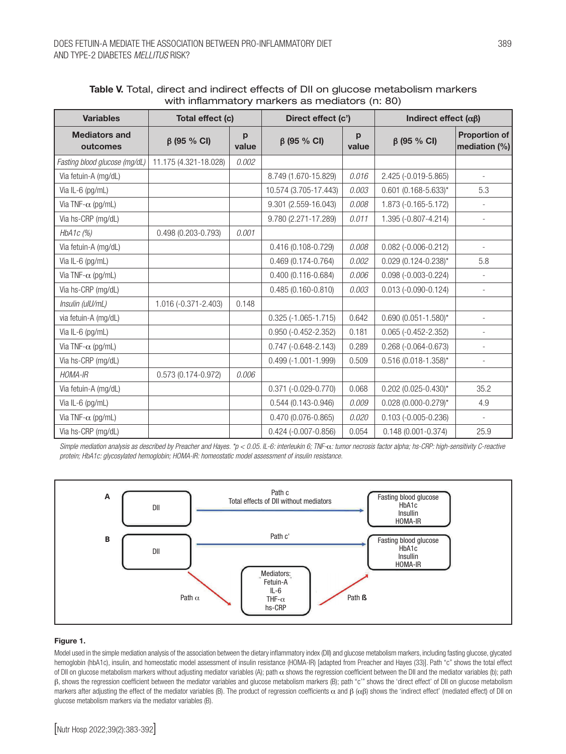| <b>Variables</b>                 | Total effect (c)       |            | Direct effect (c')       |            | Indirect effect $(\alpha\beta)$ |                                          |
|----------------------------------|------------------------|------------|--------------------------|------------|---------------------------------|------------------------------------------|
| <b>Mediators and</b><br>outcomes | $\beta$ (95 % CI)      | p<br>value | $\beta$ (95 % CI)        | p<br>value | $\beta$ (95 % CI)               | <b>Proportion of</b><br>mediation $(\%)$ |
| Fasting blood glucose (mg/dL)    | 11.175 (4.321-18.028)  | 0.002      |                          |            |                                 |                                          |
| Via fetuin-A (mg/dL)             |                        |            | 8.749 (1.670-15.829)     | 0.016      | 2.425 (-0.019-5.865)            |                                          |
| Via IL-6 (pg/mL)                 |                        |            | 10.574 (3.705-17.443)    | 0.003      | $0.601$ (0.168-5.633)*          | 5.3                                      |
| Via TNF- $\alpha$ (pg/mL)        |                        |            | 9.301 (2.559-16.043)     | 0.008      | 1.873 (-0.165-5.172)            |                                          |
| Via hs-CRP (mg/dL)               |                        |            | 9.780 (2.271-17.289)     | 0.011      | 1.395 (-0.807-4.214)            | $\overline{a}$                           |
| HbA1 $c$ (%)                     | 0.498 (0.203-0.793)    | 0.001      |                          |            |                                 |                                          |
| Via fetuin-A (mg/dL)             |                        |            | 0.416 (0.108-0.729)      | 0.008      | $0.082 (-0.006 - 0.212)$        |                                          |
| Via IL-6 (pg/mL)                 |                        |            | $0.469(0.174 - 0.764)$   | 0.002      | $0.029(0.124 - 0.238)$ *        | 5.8                                      |
| Via TNF- $\alpha$ (pg/mL)        |                        |            | $0.400(0.116 - 0.684)$   | 0.006      | $0.098 (-0.003 - 0.224)$        | $\overline{\phantom{m}}$                 |
| Via hs-CRP (mg/dL)               |                        |            | $0.485(0.160 - 0.810)$   | 0.003      | $0.013 (-0.090 - 0.124)$        | $\overline{\phantom{0}}$                 |
| Insulin (ulU/mL)                 | 1.016 (-0.371-2.403)   | 0.148      |                          |            |                                 |                                          |
| via fetuin-A (mg/dL)             |                        |            | $0.325 (-1.065 - 1.715)$ | 0.642      | $0.690(0.051 - 1.580)^{*}$      |                                          |
| Via IL-6 (pg/mL)                 |                        |            | $0.950 (-0.452 - 2.352)$ | 0.181      | $0.065 (-0.452 - 2.352)$        |                                          |
| Via TNF- $\alpha$ (pg/mL)        |                        |            | $0.747 (-0.648 - 2.143)$ | 0.289      | $0.268 (-0.064 - 0.673)$        | $\overline{a}$                           |
| Via hs-CRP (mg/dL)               |                        |            | $0.499(-1.001 - 1.999)$  | 0.509      | $0.516(0.018 - 1.358)^{*}$      | ٠                                        |
| HOMA-IR                          | $0.573(0.174 - 0.972)$ | 0.006      |                          |            |                                 |                                          |
| Via fetuin-A (mg/dL)             |                        |            | $0.371 (-0.029 - 0.770)$ | 0.068      | $0.202$ (0.025-0.430)*          | 35.2                                     |
| Via IL-6 (pg/mL)                 |                        |            | $0.544(0.143 - 0.946)$   | 0.009      | $0.028$ (0.000-0.279)*          | 4.9                                      |
| Via TNF- $\alpha$ (pg/mL)        |                        |            | 0.470 (0.076-0.865)      | 0.020      | $0.103 (-0.005 - 0.236)$        | $\overline{\phantom{a}}$                 |
| Via hs-CRP (mg/dL)               |                        |            | $0.424 (-0.007 - 0.856)$ | 0.054      | $0.148(0.001 - 0.374)$          | 25.9                                     |

| Table V. Total, direct and indirect effects of DII on glucose metabolism markers |  |  |
|----------------------------------------------------------------------------------|--|--|
| with inflammatory markers as mediators (n: 80)                                   |  |  |

*Simple mediation analysis as described by Preacher and Hayes. \*p < 0.05. IL-6: interleukin 6; TNF-*α*: tumor necrosis factor alpha; hs-CRP: high-sensitivity C-reactive protein; HbA1c: glycosylated hemoglobin; HOMA-IR: homeostatic model assessment of insulin resistance.*



#### Figure 1.

Model used in the simple mediation analysis of the association between the dietary inflammatory index (DII) and glucose metabolism markers, including fasting glucose, glycated hemoglobin (hbA1c), insulin, and homeostatic model assessment of insulin resistance (HOMA-IR) [adapted from Preacher and Hayes (33)]. Path "c" shows the total effect of DII on glucose metabolism markers without adjusting mediator variables (A); path  $\alpha$  shows the regression coefficient between the DII and the mediator variables (b); path β, shows the regression coefficient between the mediator variables and glucose metabolism markers (B); path "c'" shows the 'direct effect' of DII on glucose metabolism markers after adjusting the effect of the mediator variables (B). The product of regression coefficients α and  $β$  (αβ) shows the 'indirect effect' (mediated effect) of DII on glucose metabolism markers via the mediator variables (B).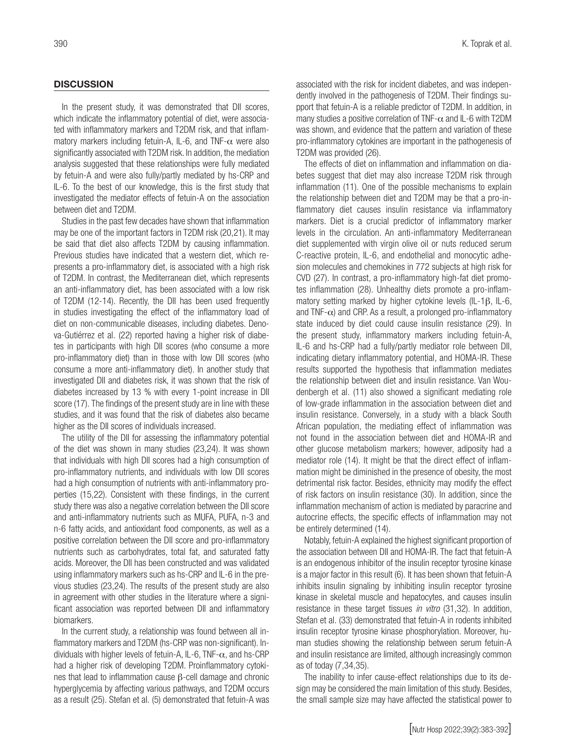#### **DISCUSSION**

In the present study, it was demonstrated that DII scores, which indicate the inflammatory potential of diet, were associated with inflammatory markers and T2DM risk, and that inflammatory markers including fetuin-A, IL-6, and TNF- $\alpha$  were also significantly associated with T2DM risk. In addition, the mediation analysis suggested that these relationships were fully mediated by fetuin-A and were also fully/partly mediated by hs-CRP and IL-6. To the best of our knowledge, this is the first study that investigated the mediator effects of fetuin-A on the association between diet and T2DM.

Studies in the past few decades have shown that inflammation may be one of the important factors in T2DM risk (20,21). It may be said that diet also affects T2DM by causing inflammation. Previous studies have indicated that a western diet, which represents a pro-inflammatory diet, is associated with a high risk of T2DM. In contrast, the Mediterranean diet, which represents an anti-inflammatory diet, has been associated with a low risk of T2DM (12-14). Recently, the DII has been used frequently in studies investigating the effect of the inflammatory load of diet on non-communicable diseases, including diabetes. Denova-Gutiérrez et al. (22) reported having a higher risk of diabetes in participants with high DII scores (who consume a more pro-inflammatory diet) than in those with low DII scores (who consume a more anti-inflammatory diet). In another study that investigated DII and diabetes risk, it was shown that the risk of diabetes increased by 13 % with every 1-point increase in DII score (17). The findings of the present study are in line with these studies, and it was found that the risk of diabetes also became higher as the DII scores of individuals increased.

The utility of the DII for assessing the inflammatory potential of the diet was shown in many studies (23,24). It was shown that individuals with high DII scores had a high consumption of pro-inflammatory nutrients, and individuals with low DII scores had a high consumption of nutrients with anti-inflammatory properties (15,22). Consistent with these findings, in the current study there was also a negative correlation between the DII score and anti-inflammatory nutrients such as MUFA, PUFA, n-3 and n-6 fatty acids, and antioxidant food components, as well as a positive correlation between the DII score and pro-inflammatory nutrients such as carbohydrates, total fat, and saturated fatty acids. Moreover, the DII has been constructed and was validated using inflammatory markers such as hs-CRP and IL-6 in the previous studies (23,24). The results of the present study are also in agreement with other studies in the literature where a significant association was reported between DII and inflammatory biomarkers.

In the current study, a relationship was found between all inflammatory markers and T2DM (hs-CRP was non-significant). Individuals with higher levels of fetuin-A, IL-6, TNF- $\alpha$ , and hs-CRP had a higher risk of developing T2DM. Proinflammatory cytokines that lead to inflammation cause β-cell damage and chronic hyperglycemia by affecting various pathways, and T2DM occurs as a result (25). Stefan et al. (5) demonstrated that fetuin-A was associated with the risk for incident diabetes, and was independently involved in the pathogenesis of T2DM. Their findings support that fetuin-A is a reliable predictor of T2DM. In addition, in many studies a positive correlation of TNF- $\alpha$  and IL-6 with T2DM was shown, and evidence that the pattern and variation of these pro-inflammatory cytokines are important in the pathogenesis of T2DM was provided (26).

The effects of diet on inflammation and inflammation on diabetes suggest that diet may also increase T2DM risk through inflammation (11). One of the possible mechanisms to explain the relationship between diet and T2DM may be that a pro-inflammatory diet causes insulin resistance via inflammatory markers. Diet is a crucial predictor of inflammatory marker levels in the circulation. An anti-inflammatory Mediterranean diet supplemented with virgin olive oil or nuts reduced serum C-reactive protein, IL-6, and endothelial and monocytic adhesion molecules and chemokines in 772 subjects at high risk for CVD (27). In contrast, a pro-inflammatory high-fat diet promotes inflammation (28). Unhealthy diets promote a pro-inflammatory setting marked by higher cytokine levels (IL-1β, IL-6, and TNF- $\alpha$ ) and CRP. As a result, a prolonged pro-inflammatory state induced by diet could cause insulin resistance (29). In the present study, inflammatory markers including fetuin-A, IL-6 and hs-CRP had a fully/partly mediator role between DII, indicating dietary inflammatory potential, and HOMA-IR. These results supported the hypothesis that inflammation mediates the relationship between diet and insulin resistance. Van Woudenbergh et al. (11) also showed a significant mediating role of low-grade inflammation in the association between diet and insulin resistance. Conversely, in a study with a black South African population, the mediating effect of inflammation was not found in the association between diet and HOMA-IR and other glucose metabolism markers; however, adiposity had a mediator role (14). It might be that the direct effect of inflammation might be diminished in the presence of obesity, the most detrimental risk factor. Besides, ethnicity may modify the effect of risk factors on insulin resistance (30). In addition, since the inflammation mechanism of action is mediated by paracrine and autocrine effects, the specific effects of inflammation may not be entirely determined (14).

Notably, fetuin-A explained the highest significant proportion of the association between DII and HOMA-IR. The fact that fetuin-A is an endogenous inhibitor of the insulin receptor tyrosine kinase is a major factor in this result (6). It has been shown that fetuin-A inhibits insulin signaling by inhibiting insulin receptor tyrosine kinase in skeletal muscle and hepatocytes, and causes insulin resistance in these target tissues *in vitro* (31,32). In addition, Stefan et al. (33) demonstrated that fetuin-A in rodents inhibited insulin receptor tyrosine kinase phosphorylation. Moreover, human studies showing the relationship between serum fetuin-A and insulin resistance are limited, although increasingly common as of today (7,34,35).

The inability to infer cause-effect relationships due to its design may be considered the main limitation of this study. Besides, the small sample size may have affected the statistical power to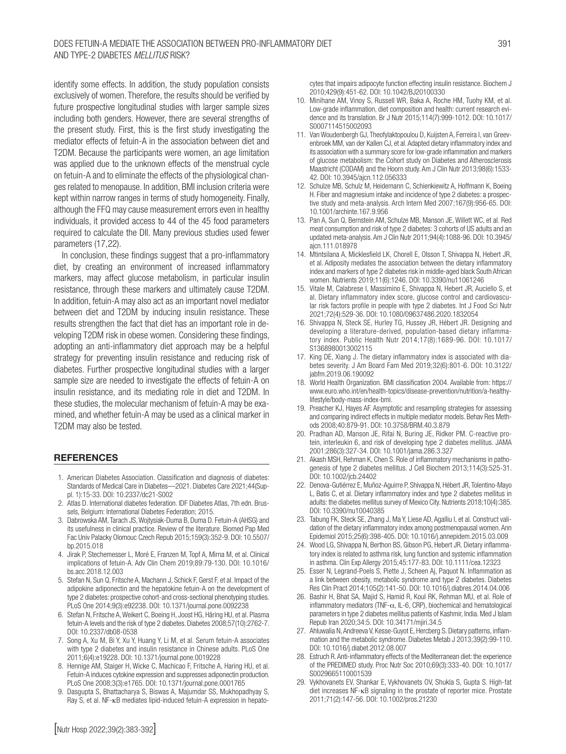#### Does fetuin-A mediate the association between pro-inflammatory diet AND TYPE-2 DIABETES *MELLITUS* RISK?

identify some effects. In addition, the study population consists exclusively of women. Therefore, the results should be verified by future prospective longitudinal studies with larger sample sizes including both genders. However, there are several strengths of the present study. First, this is the first study investigating the mediator effects of fetuin-A in the association between diet and T2DM. Because the participants were women, an age limitation was applied due to the unknown effects of the menstrual cycle on fetuin-A and to eliminate the effects of the physiological changes related to menopause. In addition, BMI inclusion criteria were kept within narrow ranges in terms of study homogeneity. Finally, although the FFQ may cause measurement errors even in healthy individuals, it provided access to 44 of the 45 food parameters required to calculate the DII. Many previous studies used fewer parameters (17,22).

In conclusion, these findings suggest that a pro-inflammatory diet, by creating an environment of increased inflammatory markers, may affect glucose metabolism, in particular insulin resistance, through these markers and ultimately cause T2DM. In addition, fetuin-A may also act as an important novel mediator between diet and T2DM by inducing insulin resistance. These results strengthen the fact that diet has an important role in developing T2DM risk in obese women. Considering these findings, adopting an anti-inflammatory diet approach may be a helpful strategy for preventing insulin resistance and reducing risk of diabetes. Further prospective longitudinal studies with a larger sample size are needed to investigate the effects of fetuin-A on insulin resistance, and its mediating role in diet and T2DM. In these studies, the molecular mechanism of fetuin-A may be examined, and whether fetuin-A may be used as a clinical marker in T2DM may also be tested.

# **REFERENCES**

- 1. American Diabetes Association. Classification and diagnosis of diabetes: Standards of Medical Care in Diabetes—2021. Diabetes Care 2021;44(Suppl. 1):15-33. DOI: 10.2337/dc21-S002
- 2. Atlas D. International diabetes federation. IDF Diabetes Atlas, 7th edn. Brussels, Belgium: International Diabetes Federation; 2015.
- 3. Dabrowska AM, Tarach JS, Wojtysiak-Duma B, Duma D. Fetuin-A (AHSG) and its usefulness in clinical practice. Review of the literature. Biomed Pap Med Fac Univ Palacky Olomouc Czech Repub 2015;159(3):352-9. DOI: 10.5507/ bp.2015.018
- 4. Jirak P, Stechemesser L, Moré E, Franzen M, Topf A, Mirna M, et al. Clinical implications of fetuin-A. Adv Clin Chem 2019;89:79-130. DOI: 10.1016/ bs.acc.2018.12.003
- 5. Stefan N, Sun Q, Fritsche A, Machann J, Schick F, Gerst F, et al. Impact of the adipokine adiponectin and the hepatokine fetuin-A on the development of type 2 diabetes: prospective cohort-and cross-sectional phenotyping studies. PLoS One 2014;9(3):e92238. DOI: 10.1371/journal.pone.0092238
- 6. Stefan N, Fritsche A, Weikert C, Boeing H, Joost HG, Häring HU, et al. Plasma fetuin-A levels and the risk of type 2 diabetes. Diabetes 2008;57(10):2762-7. DOI: 10.2337/db08-0538
- 7. Song A, Xu M, Bi Y, Xu Y, Huang Y, Li M, et al. Serum fetuin-A associates with type 2 diabetes and insulin resistance in Chinese adults. PLoS One 2011;6(4):e19228. DOI: 10.1371/journal.pone.0019228
- 8. Hennige AM, Staiger H, Wicke C, Machicao F, Fritsche A, Haring HU, et al. Fetuin-A induces cytokine expression and suppresses adiponectin production. PLoS One 2008;3(3):e1765. DOI: 10.1371/journal.pone.0001765
- 9. Dasgupta S, Bhattacharya S, Biswas A, Majumdar SS, Mukhopadhyay S, Ray S, et al. NF-κB mediates lipid-induced fetuin-A expression in hepato-

cytes that impairs adipocyte function effecting insulin resistance. Biochem J 2010;429(9):451-62. DOI: 10.1042/BJ20100330

- 10. Minihane AM, Vinoy S, Russell WR, Baka A, Roche HM, Tuohy KM, et al. Low-grade inflammation, diet composition and health: current research evidence and its translation. Br J Nutr 2015;114(7):999-1012. DOI: 10.1017/ S0007114515002093
- 11. Van Woudenbergh GJ, Theofylaktopoulou D, Kuijsten A, Ferreira I, van Greevenbroek MM, van der Kallen CJ, et al. Adapted dietary inflammatory index and its association with a summary score for low-grade inflammation and markers of glucose metabolism: the Cohort study on Diabetes and Atherosclerosis Maastricht (CODAM) and the Hoorn study. Am J Clin Nutr 2013;98(6):1533- 42. DOI: 10.3945/ajcn.112.056333
- 12. Schulze MB, Schulz M, Heidemann C, Schienkiewitz A, Hoffmann K, Boeing H. Fiber and magnesium intake and incidence of type 2 diabetes: a prospective study and meta-analysis. Arch Intern Med 2007;167(9):956-65. DOI: 10.1001/archinte.167.9.956
- 13. Pan A, Sun Q, Bernstein AM, Schulze MB, Manson JE, Willett WC, et al. Red meat consumption and risk of type 2 diabetes: 3 cohorts of US adults and an updated meta-analysis. Am J Clin Nutr 2011;94(4):1088-96. DOI: 10.3945/ ajcn.111.018978
- 14. Mtintsilana A, Micklesfield LK, Chorell E, Olsson T, Shivappa N, Hebert JR, et al. Adiposity mediates the association between the dietary inflammatory index and markers of type 2 diabetes risk in middle-aged black South African women. Nutrients 2019;11(6):1246. DOI: 10.3390/nu11061246
- 15. Vitale M, Calabrese I, Massimino E, Shivappa N, Hebert JR, Auciello S, et al. Dietary inflammatory index score, glucose control and cardiovascular risk factors profile in people with type 2 diabetes. Int J Food Sci Nutr 2021;72(4):529-36. DOI: 10.1080/09637486.2020.1832054
- 16. Shivappa N, Steck SE, Hurley TG, Hussey JR, Hébert JR. Designing and developing a literature-derived, population-based dietary inflammatory index. Public Health Nutr 2014;17(8):1689-96. DOI: 10.1017/ S1368980013002115
- 17. King DE, Xiang J. The dietary inflammatory index is associated with diabetes severity. J Am Board Fam Med 2019;32(6):801-6. DOI: 10.3122/ jabfm.2019.06.190092
- 18. World Health Organization. BMI classification 2004. Available from: https:// www.euro.who.int/en/health-topics/disease-prevention/nutrition/a-healthylifestyle/body-mass-index-bmi.
- 19. Preacher KJ, Hayes AF. Asymptotic and resampling strategies for assessing and comparing indirect effects in multiple mediator models. Behav Res Methods 2008;40:879-91. DOI: 10.3758/BRM.40.3.879
- 20. Pradhan AD, Manson JE, Rifai N, Buring JE, Ridker PM. C-reactive protein, interleukin 6, and risk of developing type 2 diabetes mellitus. JAMA 2001;286(3):327-34. DOI: 10.1001/jama.286.3.327
- 21. Akash MSH, Rehman K, Chen S. Role of inflammatory mechanisms in pathogenesis of type 2 diabetes mellitus. J Cell Biochem 2013;114(3):525-31. DOI: 10.1002/jcb.24402
- 22. Denova-Gutiérrez E, Muñoz-Aguirre P, Shivappa N, Hébert JR, Tolentino-Mayo L, Batis C, et al. Dietary inflammatory index and type 2 diabetes mellitus in adults: the diabetes mellitus survey of Mexico City. Nutrients 2018;10(4):385. DOI: 10.3390/nu10040385
- 23. Tabung FK, Steck SE, Zhang J, Ma Y, Liese AD, Agalliu I, et al. Construct validation of the dietary inflammatory index among postmenopausal women. Ann Epidemiol 2015;25(6):398-405. DOI: 10.1016/j.annepidem.2015.03.009
- 24. Wood LG, Shivappa N, Berthon BS, Gibson PG, Hebert JR. Dietary inflammatory index is related to asthma risk, lung function and systemic inflammation in asthma. Clin Exp Allergy 2015;45:177-83. DOI: 10.1111/cea.12323
- 25. Esser N, Legrand-Poels S, Piette J, Scheen Aj, Paquot N. Inflammation as a link between obesity, metabolic syndrome and type 2 diabetes. Diabetes Res Clin Pract 2014;105(2):141-50. DOI: 10.1016/j.diabres.2014.04.006
- 26. Bashir H, Bhat SA, Majid S, Hamid R, Koul RK, Rehman MU, et al. Role of inflammatory mediators (TNF- $\alpha$ , IL-6, CRP), biochemical and hematological parameters in type 2 diabetes mellitus patients of Kashmir, India. Med J Islam Repub Iran 2020;34:5. DOI: 10.34171/mjiri.34.5
- 27. Ahluwalia N, Andreeva V, Kesse-Guyot E, Hercberg S. Dietary patterns, inflammation and the metabolic syndrome. Diabetes Metab J 2013;39(2):99-110. DOI: 10.1016/j.diabet.2012.08.007
- 28. Estruch R. Anti-inflammatory effects of the Mediterranean diet: the experience of the PREDIMED study. Proc Nutr Soc 2010;69(3):333-40. DOI: 10.1017/ S0029665110001539
- 29. Vykhovanets EV, Shankar E, Vykhovanets OV, Shukla S, Gupta S. High-fat diet increases NF-κB signaling in the prostate of reporter mice. Prostate 2011;71(2):147-56. DOI: 10.1002/pros.21230